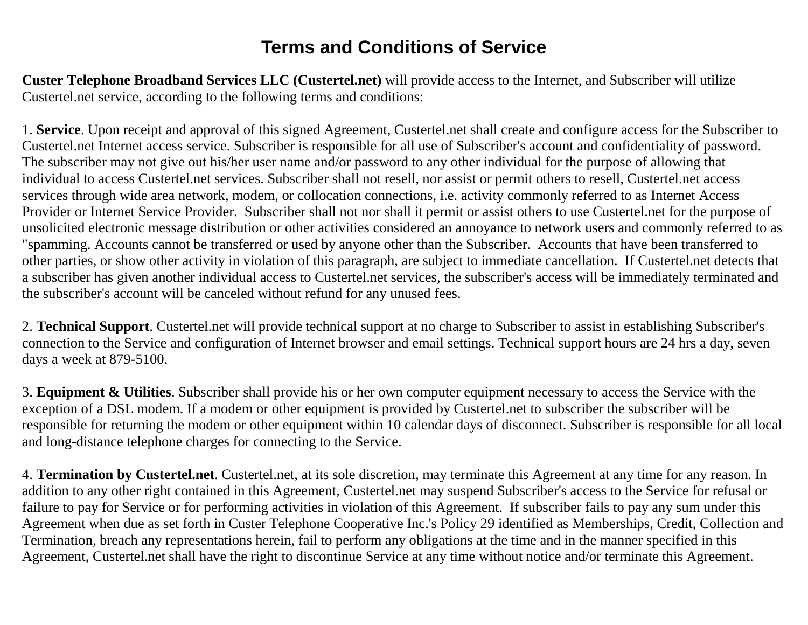## **Terms and Conditions of Service**

**Custer Telephone Broadband Services LLC (Custertel.net)** will provide access to the Internet, and Subscriber will utilize Custertel.net service, according to the following terms and conditions:

1. **Service**. Upon receipt and approval of this signed Agreement, Custertel.net shall create and configure access for the Subscriber to Custertel.net Internet access service. Subscriber is responsible for all use of Subscriber's account and confidentiality of password. The subscriber may not give out his/her user name and/or password to any other individual for the purpose of allowing that individual to access Custertel.net services. Subscriber shall not resell, nor assist or permit others to resell, Custertel.net access services through wide area network, modem, or collocation connections, i.e. activity commonly referred to as Internet Access Provider or Internet Service Provider. Subscriber shall not nor shall it permit or assist others to use Custertel.net for the purpose of unsolicited electronic message distribution or other activities considered an annoyance to network users and commonly referred to as "spamming. Accounts cannot be transferred or used by anyone other than the Subscriber. Accounts that have been transferred to other parties, or show other activity in violation of this paragraph, are subject to immediate cancellation. If Custertel.net detects that a subscriber has given another individual access to Custertel.net services, the subscriber's access will be immediately terminated and the subscriber's account will be canceled without refund for any unused fees.

2. **Technical Support**. Custertel.net will provide technical support at no charge to Subscriber to assist in establishing Subscriber's connection to the Service and configuration of Internet browser and email settings. Technical support hours are 24 hrs a day, seven days a week at 879-5100.

3. **Equipment & Utilities**. Subscriber shall provide his or her own computer equipment necessary to access the Service with the exception of a DSL modem. If a modem or other equipment is provided by Custertel.net to subscriber the subscriber will be responsible for returning the modem or other equipment within 10 calendar days of disconnect. Subscriber is responsible for all local and long-distance telephone charges for connecting to the Service.

4. **Termination by Custertel.net**. Custertel.net, at its sole discretion, may terminate this Agreement at any time for any reason. In addition to any other right contained in this Agreement, Custertel.net may suspend Subscriber's access to the Service for refusal or failure to pay for Service or for performing activities in violation of this Agreement. If subscriber fails to pay any sum under this Agreement when due as set forth in Custer Telephone Cooperative Inc.'s Policy 29 identified as Memberships, Credit, Collection and Termination, breach any representations herein, fail to perform any obligations at the time and in the manner specified in this Agreement, Custertel.net shall have the right to discontinue Service at any time without notice and/or terminate this Agreement.